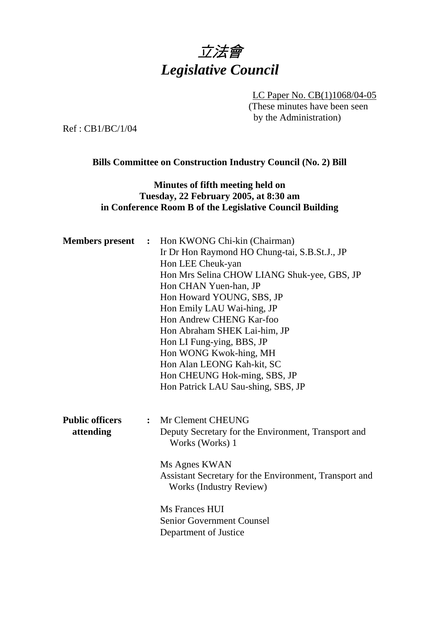

LC Paper No. CB(1)1068/04-05 (These minutes have been seen by the Administration)

Ref : CB1/BC/1/04

### **Bills Committee on Construction Industry Council (No. 2) Bill**

## **Minutes of fifth meeting held on Tuesday, 22 February 2005, at 8:30 am in Conference Room B of the Legislative Council Building**

| <b>Members</b> present | $\ddot{\cdot}$ | Hon KWONG Chi-kin (Chairman)<br>Ir Dr Hon Raymond HO Chung-tai, S.B.St.J., JP            |
|------------------------|----------------|------------------------------------------------------------------------------------------|
|                        |                | Hon LEE Cheuk-yan                                                                        |
|                        |                | Hon Mrs Selina CHOW LIANG Shuk-yee, GBS, JP                                              |
|                        |                | Hon CHAN Yuen-han, JP                                                                    |
|                        |                | Hon Howard YOUNG, SBS, JP                                                                |
|                        |                | Hon Emily LAU Wai-hing, JP                                                               |
|                        |                | Hon Andrew CHENG Kar-foo                                                                 |
|                        |                | Hon Abraham SHEK Lai-him, JP                                                             |
|                        |                | Hon LI Fung-ying, BBS, JP                                                                |
|                        |                | Hon WONG Kwok-hing, MH                                                                   |
|                        |                | Hon Alan LEONG Kah-kit, SC                                                               |
|                        |                | Hon CHEUNG Hok-ming, SBS, JP                                                             |
|                        |                | Hon Patrick LAU Sau-shing, SBS, JP                                                       |
| <b>Public officers</b> | $\ddot{\cdot}$ | Mr Clement CHEUNG                                                                        |
| attending              |                | Deputy Secretary for the Environment, Transport and<br>Works (Works) 1                   |
|                        |                | Ms Agnes KWAN                                                                            |
|                        |                | Assistant Secretary for the Environment, Transport and<br><b>Works (Industry Review)</b> |
|                        |                | Ms Frances HUI                                                                           |
|                        |                | <b>Senior Government Counsel</b>                                                         |
|                        |                | Department of Justice                                                                    |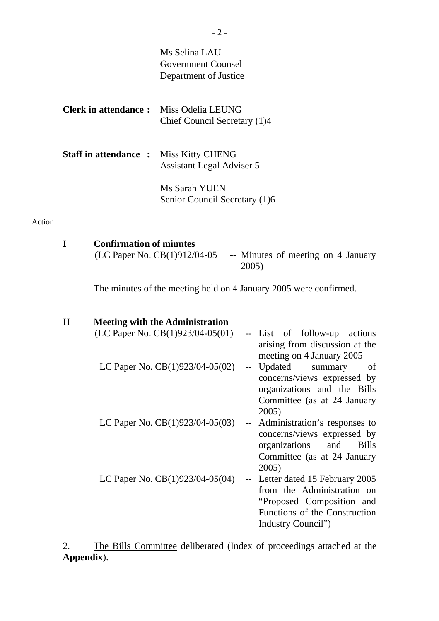|        |              |                                | Ms Selina LAU<br><b>Government Counsel</b><br>Department of Justice          |             |                                                                                                                                                          |
|--------|--------------|--------------------------------|------------------------------------------------------------------------------|-------------|----------------------------------------------------------------------------------------------------------------------------------------------------------|
|        |              | <b>Clerk in attendance:</b>    | Miss Odelia LEUNG<br>Chief Council Secretary (1)4                            |             |                                                                                                                                                          |
|        |              | <b>Staff in attendance:</b>    | Miss Kitty CHENG<br><b>Assistant Legal Adviser 5</b>                         |             |                                                                                                                                                          |
|        |              |                                | Ms Sarah YUEN<br>Senior Council Secretary (1)6                               |             |                                                                                                                                                          |
| Action |              |                                |                                                                              |             |                                                                                                                                                          |
|        | $\mathbf I$  | <b>Confirmation of minutes</b> | (LC Paper No. CB(1)912/04-05                                                 | 2005)       | -- Minutes of meeting on 4 January<br>The minutes of the meeting held on 4 January 2005 were confirmed.                                                  |
|        |              |                                |                                                                              |             |                                                                                                                                                          |
|        | $\mathbf{I}$ |                                | <b>Meeting with the Administration</b><br>(LC Paper No. $CB(1)923/04-05(01)$ |             | -- List of follow-up actions<br>arising from discussion at the                                                                                           |
|        |              |                                | LC Paper No. $CB(1)923/04-05(02)$                                            |             | meeting on 4 January 2005<br>-- Updated summary of<br>concerns/views expressed by<br>organizations and the Bills<br>Committee (as at 24 January<br>2005) |
|        |              |                                | LC Paper No. $CB(1)923/04-05(03)$                                            | $-\!$ $\!-$ | Administration's responses to<br>concerns/views expressed by<br>organizations<br><b>Bills</b><br>and<br>Committee (as at 24 January<br>2005)             |
|        |              |                                | LC Paper No. $CB(1)923/04-05(04)$                                            |             | Letter dated 15 February 2005<br>from the Administration on<br>"Proposed Composition and<br>Functions of the Construction<br>Industry Council")          |

2. The Bills Committee deliberated (Index of proceedings attached at the **Appendix**).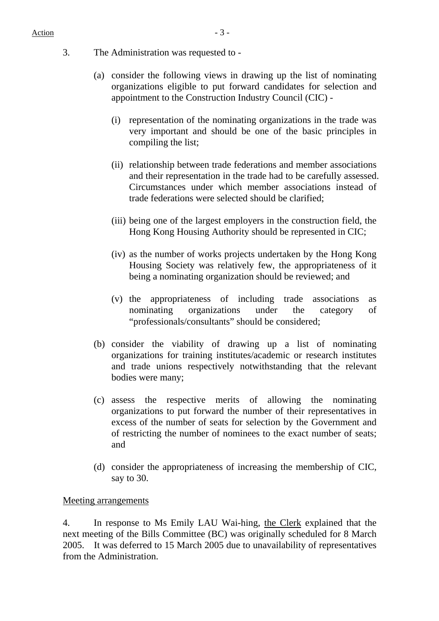- 3. The Administration was requested to
	- (a) consider the following views in drawing up the list of nominating organizations eligible to put forward candidates for selection and appointment to the Construction Industry Council (CIC) -
		- (i) representation of the nominating organizations in the trade was very important and should be one of the basic principles in compiling the list;
		- (ii) relationship between trade federations and member associations and their representation in the trade had to be carefully assessed. Circumstances under which member associations instead of trade federations were selected should be clarified;
		- (iii) being one of the largest employers in the construction field, the Hong Kong Housing Authority should be represented in CIC;
		- (iv) as the number of works projects undertaken by the Hong Kong Housing Society was relatively few, the appropriateness of it being a nominating organization should be reviewed; and
		- (v) the appropriateness of including trade associations as nominating organizations under the category of "professionals/consultants" should be considered;
	- (b) consider the viability of drawing up a list of nominating organizations for training institutes/academic or research institutes and trade unions respectively notwithstanding that the relevant bodies were many;
	- (c) assess the respective merits of allowing the nominating organizations to put forward the number of their representatives in excess of the number of seats for selection by the Government and of restricting the number of nominees to the exact number of seats; and
	- (d) consider the appropriateness of increasing the membership of CIC, say to 30.

#### Meeting arrangements

4. In response to Ms Emily LAU Wai-hing, the Clerk explained that the next meeting of the Bills Committee (BC) was originally scheduled for 8 March 2005. It was deferred to 15 March 2005 due to unavailability of representatives from the Administration.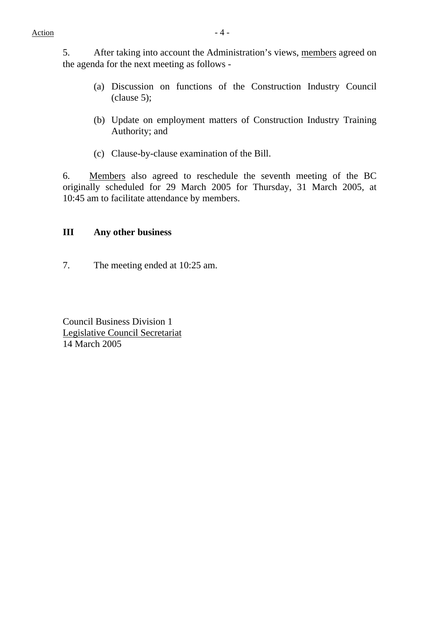5. After taking into account the Administration's views, members agreed on the agenda for the next meeting as follows -

- (a) Discussion on functions of the Construction Industry Council (clause 5);
- (b) Update on employment matters of Construction Industry Training Authority; and
- (c) Clause-by-clause examination of the Bill.

6. Members also agreed to reschedule the seventh meeting of the BC originally scheduled for 29 March 2005 for Thursday, 31 March 2005, at 10:45 am to facilitate attendance by members.

## **III Any other business**

7. The meeting ended at 10:25 am.

Council Business Division 1 Legislative Council Secretariat 14 March 2005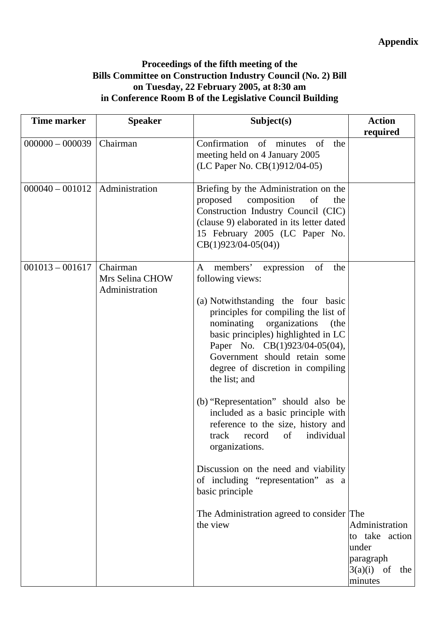# **Proceedings of the fifth meeting of the Bills Committee on Construction Industry Council (No. 2) Bill on Tuesday, 22 February 2005, at 8:30 am in Conference Room B of the Legislative Council Building**

|                   |                                               | Subject(s)                                                                                                                                                                                                                                                                                                                                                                                                                                                                                                                                                                                                                                                                                        | <b>Action</b><br>required                                                      |
|-------------------|-----------------------------------------------|---------------------------------------------------------------------------------------------------------------------------------------------------------------------------------------------------------------------------------------------------------------------------------------------------------------------------------------------------------------------------------------------------------------------------------------------------------------------------------------------------------------------------------------------------------------------------------------------------------------------------------------------------------------------------------------------------|--------------------------------------------------------------------------------|
| $000000 - 000039$ | Chairman                                      | Confirmation of minutes<br>of<br>the<br>meeting held on 4 January 2005<br>(LC Paper No. CB(1)912/04-05)                                                                                                                                                                                                                                                                                                                                                                                                                                                                                                                                                                                           |                                                                                |
| $000040 - 001012$ | Administration                                | Briefing by the Administration on the<br>composition<br>proposed<br>of<br>the<br>Construction Industry Council (CIC)<br>(clause 9) elaborated in its letter dated<br>15 February 2005 (LC Paper No.<br>$CB(1)923/04-05(04))$                                                                                                                                                                                                                                                                                                                                                                                                                                                                      |                                                                                |
| $001013 - 001617$ | Chairman<br>Mrs Selina CHOW<br>Administration | of<br>members'<br>expression<br>$\mathbf{A}$<br>the<br>following views:<br>(a) Notwithstanding the four basic<br>principles for compiling the list of<br>nominating<br>organizations<br>(the<br>basic principles) highlighted in LC<br>Paper No. CB(1)923/04-05(04),<br>Government should retain some<br>degree of discretion in compiling<br>the list; and<br>(b) "Representation" should also be<br>included as a basic principle with<br>reference to the size, history and<br>individual<br>track<br>of<br>record<br>organizations.<br>Discussion on the need and viability<br>of including "representation" as a<br>basic principle<br>The Administration agreed to consider The<br>the view | Administration<br>to take action<br>under<br>paragraph<br>3(a)(i)<br>of<br>the |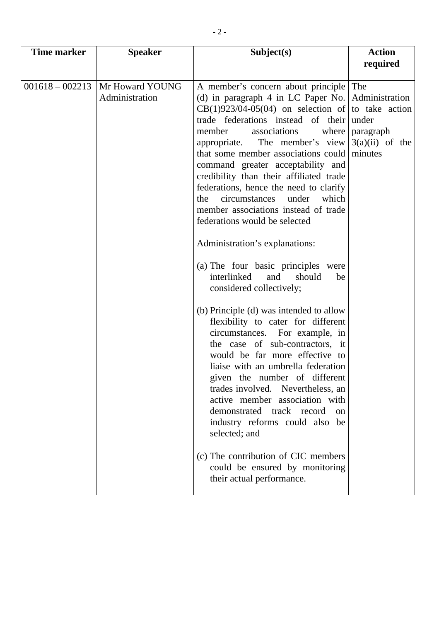| <b>Time marker</b> | <b>Speaker</b>                    | Subject(s)                                                                                                                                                                                                                                                                                                                                                                                                                                                                                                                                                                                                                                                                                                                                                                                                                                                                                                                                                                                                                                                                                                                                                                                    | <b>Action</b>                  |
|--------------------|-----------------------------------|-----------------------------------------------------------------------------------------------------------------------------------------------------------------------------------------------------------------------------------------------------------------------------------------------------------------------------------------------------------------------------------------------------------------------------------------------------------------------------------------------------------------------------------------------------------------------------------------------------------------------------------------------------------------------------------------------------------------------------------------------------------------------------------------------------------------------------------------------------------------------------------------------------------------------------------------------------------------------------------------------------------------------------------------------------------------------------------------------------------------------------------------------------------------------------------------------|--------------------------------|
|                    |                                   |                                                                                                                                                                                                                                                                                                                                                                                                                                                                                                                                                                                                                                                                                                                                                                                                                                                                                                                                                                                                                                                                                                                                                                                               |                                |
| $001618 - 002213$  | Mr Howard YOUNG<br>Administration | A member's concern about principle The<br>(d) in paragraph 4 in LC Paper No.   Administration<br>$CB(1)923/04-05(04)$ on selection of to take action<br>trade federations instead of their<br>member<br>associations<br>where<br>appropriate.<br>The member's view $3(a)(ii)$ of the<br>that some member associations could minutes<br>command greater acceptability and<br>credibility than their affiliated trade<br>federations, hence the need to clarify<br>circumstances<br>under<br>which<br>the<br>member associations instead of trade<br>federations would be selected<br>Administration's explanations:<br>(a) The four basic principles were<br>interlinked<br>and<br>should<br>be<br>considered collectively;<br>(b) Principle (d) was intended to allow<br>flexibility to cater for different<br>circumstances. For example, in<br>the case of sub-contractors, it<br>would be far more effective to<br>liaise with an umbrella federation<br>given the number of different<br>trades involved. Nevertheless, an<br>active member association with<br>demonstrated track record<br>on<br>industry reforms could also be<br>selected; and<br>(c) The contribution of CIC members | required<br>under<br>paragraph |
|                    |                                   | could be ensured by monitoring<br>their actual performance.                                                                                                                                                                                                                                                                                                                                                                                                                                                                                                                                                                                                                                                                                                                                                                                                                                                                                                                                                                                                                                                                                                                                   |                                |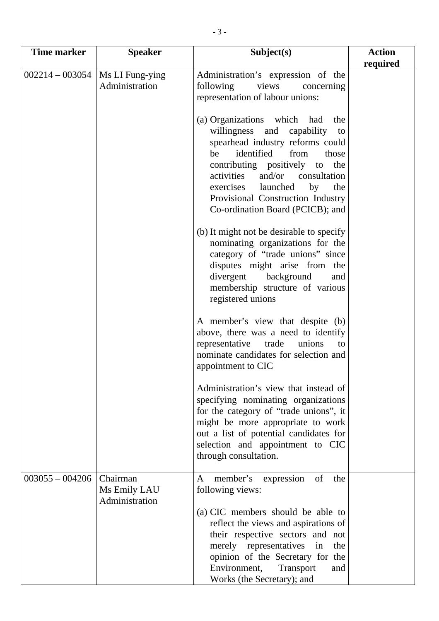| <b>Time marker</b> | <b>Speaker</b>                             | Subject(s)                                                                                                                                                                                                                                                                                                                      | <b>Action</b> |
|--------------------|--------------------------------------------|---------------------------------------------------------------------------------------------------------------------------------------------------------------------------------------------------------------------------------------------------------------------------------------------------------------------------------|---------------|
| $002214 - 003054$  | Ms LI Fung-ying                            | Administration's expression of the                                                                                                                                                                                                                                                                                              | required      |
|                    | Administration                             | views<br>following<br>concerning                                                                                                                                                                                                                                                                                                |               |
|                    |                                            | representation of labour unions:                                                                                                                                                                                                                                                                                                |               |
|                    |                                            | (a) Organizations which had the<br>willingness and capability to<br>spearhead industry reforms could<br>identified<br>from<br>those<br>be<br>contributing positively to the<br>and/or consultation<br>activities<br>launched<br>by<br>exercises<br>the<br>Provisional Construction Industry<br>Co-ordination Board (PCICB); and |               |
|                    |                                            | (b) It might not be desirable to specify<br>nominating organizations for the<br>category of "trade unions" since<br>disputes might arise from the<br>divergent<br>background<br>and<br>membership structure of various<br>registered unions                                                                                     |               |
|                    |                                            | A member's view that despite (b)<br>above, there was a need to identify<br>representative<br>unions<br>trade<br>to<br>nominate candidates for selection and<br>appointment to CIC                                                                                                                                               |               |
|                    |                                            | Administration's view that instead of<br>specifying nominating organizations<br>for the category of "trade unions", it<br>might be more appropriate to work<br>out a list of potential candidates for<br>selection and appointment to CIC<br>through consultation.                                                              |               |
| $003055 - 004206$  | Chairman<br>Ms Emily LAU<br>Administration | member's expression<br>of<br>the<br>A<br>following views:<br>(a) CIC members should be able to<br>reflect the views and aspirations of<br>their respective sectors and not<br>merely representatives<br>the<br>in<br>opinion of the Secretary for the                                                                           |               |
|                    |                                            | Environment,<br>Transport<br>and<br>Works (the Secretary); and                                                                                                                                                                                                                                                                  |               |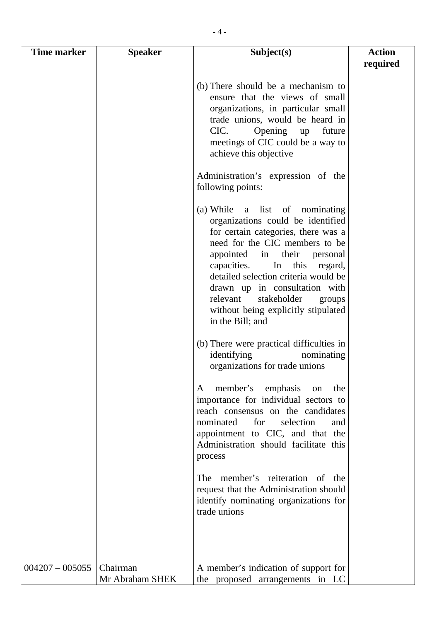| Time marker       | <b>Speaker</b>              | Subject(s)                                                                                                                                                                                                                                                                                                                                                                                         | <b>Action</b><br>required |
|-------------------|-----------------------------|----------------------------------------------------------------------------------------------------------------------------------------------------------------------------------------------------------------------------------------------------------------------------------------------------------------------------------------------------------------------------------------------------|---------------------------|
|                   |                             | (b) There should be a mechanism to<br>ensure that the views of small<br>organizations, in particular small<br>trade unions, would be heard in<br>CIC.<br>Opening<br>future<br>up<br>meetings of CIC could be a way to<br>achieve this objective<br>Administration's expression of the<br>following points:                                                                                         |                           |
|                   |                             | (a) While a list of nominating<br>organizations could be identified<br>for certain categories, there was a<br>need for the CIC members to be<br>appointed in<br>their<br>personal<br>In<br>this<br>capacities.<br>regard,<br>detailed selection criteria would be<br>drawn up in consultation with<br>stakeholder<br>relevant<br>groups<br>without being explicitly stipulated<br>in the Bill; and |                           |
|                   |                             | (b) There were practical difficulties in<br>identifying<br>nominating<br>organizations for trade unions                                                                                                                                                                                                                                                                                            |                           |
|                   |                             | member's emphasis on<br>the<br>A<br>importance for individual sectors to<br>reach consensus on the candidates<br>nominated<br>for<br>selection<br>and<br>appointment to CIC, and that the<br>Administration should facilitate this<br>process                                                                                                                                                      |                           |
|                   |                             | The member's reiteration of the<br>request that the Administration should<br>identify nominating organizations for<br>trade unions                                                                                                                                                                                                                                                                 |                           |
| $004207 - 005055$ | Chairman<br>Mr Abraham SHEK | A member's indication of support for<br>the proposed arrangements in LC                                                                                                                                                                                                                                                                                                                            |                           |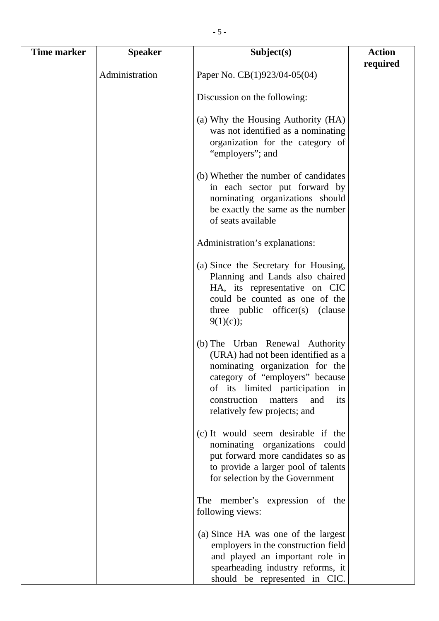| <b>Time marker</b> | <b>Speaker</b> | Subject(s)                                                                                                                                                                                                                                                 | <b>Action</b> |
|--------------------|----------------|------------------------------------------------------------------------------------------------------------------------------------------------------------------------------------------------------------------------------------------------------------|---------------|
|                    |                |                                                                                                                                                                                                                                                            | required      |
|                    | Administration | Paper No. CB(1)923/04-05(04)                                                                                                                                                                                                                               |               |
|                    |                |                                                                                                                                                                                                                                                            |               |
|                    |                | Discussion on the following:                                                                                                                                                                                                                               |               |
|                    |                | (a) Why the Housing Authority (HA)<br>was not identified as a nominating<br>organization for the category of<br>"employers"; and                                                                                                                           |               |
|                    |                | (b) Whether the number of candidates<br>in each sector put forward by<br>nominating organizations should<br>be exactly the same as the number<br>of seats available                                                                                        |               |
|                    |                | Administration's explanations:                                                                                                                                                                                                                             |               |
|                    |                | (a) Since the Secretary for Housing,<br>Planning and Lands also chaired<br>HA, its representative on CIC<br>could be counted as one of the<br>three public officer(s) (clause<br>$9(1)(c)$ ;                                                               |               |
|                    |                | (b) The Urban Renewal Authority<br>(URA) had not been identified as a<br>nominating organization for the<br>category of "employers" because<br>of its limited participation<br>1n<br>construction<br>matters<br>and<br>its<br>relatively few projects; and |               |
|                    |                | (c) It would seem desirable if the<br>nominating organizations could<br>put forward more candidates so as<br>to provide a larger pool of talents<br>for selection by the Government                                                                        |               |
|                    |                | The member's expression of the<br>following views:                                                                                                                                                                                                         |               |
|                    |                | (a) Since HA was one of the largest<br>employers in the construction field<br>and played an important role in<br>spearheading industry reforms, it<br>should be represented in CIC.                                                                        |               |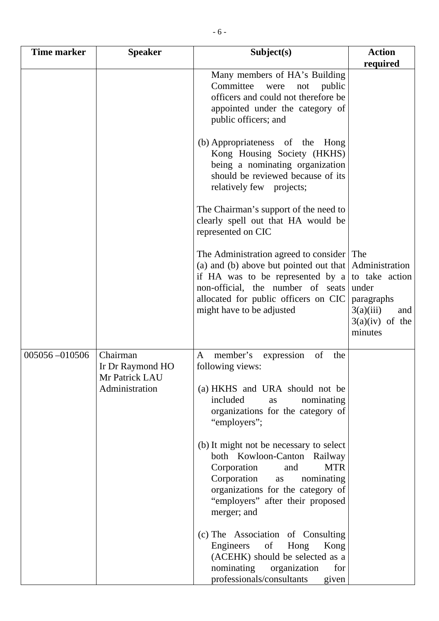| <b>Time marker</b> | <b>Speaker</b>                                 | Subject(s)                                                                                                                                                                                                                               | <b>Action</b>                                                                                               |
|--------------------|------------------------------------------------|------------------------------------------------------------------------------------------------------------------------------------------------------------------------------------------------------------------------------------------|-------------------------------------------------------------------------------------------------------------|
|                    |                                                |                                                                                                                                                                                                                                          | required                                                                                                    |
|                    |                                                | Many members of HA's Building<br>Committee<br>were<br>not<br>public<br>officers and could not therefore be<br>appointed under the category of<br>public officers; and                                                                    |                                                                                                             |
|                    |                                                | (b) Appropriateness of the<br>Hong<br>Kong Housing Society (HKHS)<br>being a nominating organization<br>should be reviewed because of its<br>relatively few projects;                                                                    |                                                                                                             |
|                    |                                                | The Chairman's support of the need to<br>clearly spell out that HA would be<br>represented on CIC                                                                                                                                        |                                                                                                             |
|                    |                                                | The Administration agreed to consider The<br>(a) and (b) above but pointed out that<br>if HA was to be represented by $a \mid$<br>non-official, the number of seats<br>allocated for public officers on CIC<br>might have to be adjusted | Administration<br>to take action<br>under<br>paragraphs<br>3(a)(iii)<br>and<br>$3(a)(iv)$ of the<br>minutes |
| 005056-010506      | Chairman<br>Ir Dr Raymond HO<br>Mr Patrick LAU | $\mathbf{A}$<br>of<br>member's<br>the<br>expression<br>following views:                                                                                                                                                                  |                                                                                                             |
|                    | Administration                                 | (a) HKHS and URA should not be<br>included<br>nominating<br>as<br>organizations for the category of<br>"employers";                                                                                                                      |                                                                                                             |
|                    |                                                | (b) It might not be necessary to select<br>both Kowloon-Canton<br>Railway<br><b>MTR</b><br>Corporation<br>and<br>Corporation<br>nominating<br>as<br>organizations for the category of<br>"employers" after their proposed<br>merger; and |                                                                                                             |

(c) The Association of Consulting Engineers of Hong Kong

 $professionals/consultants$ 

(ACEHK) should be selected as a<br>nominating organization for

organization for<br>consultants given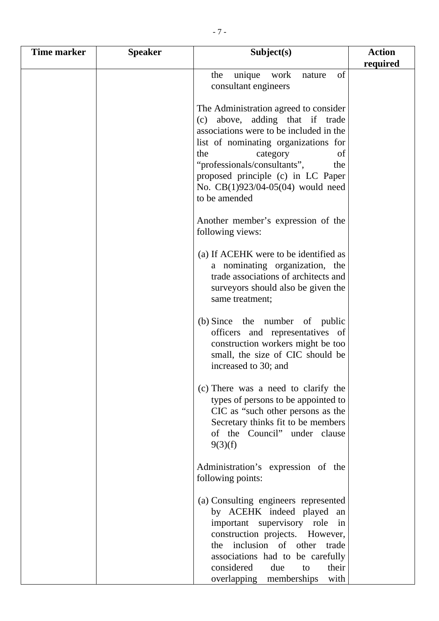| <b>Time marker</b> | <b>Speaker</b> | Subject(s)                                                                                                                                                                                                                                                                                                                | <b>Action</b> |
|--------------------|----------------|---------------------------------------------------------------------------------------------------------------------------------------------------------------------------------------------------------------------------------------------------------------------------------------------------------------------------|---------------|
|                    |                |                                                                                                                                                                                                                                                                                                                           | required      |
|                    |                | of<br>the<br>unique<br>work<br>nature<br>consultant engineers                                                                                                                                                                                                                                                             |               |
|                    |                | The Administration agreed to consider<br>(c) above, adding that if trade<br>associations were to be included in the<br>list of nominating organizations for<br>the<br>category<br>of<br>"professionals/consultants",<br>the<br>proposed principle (c) in LC Paper<br>No. $CB(1)923/04-05(04)$ would need<br>to be amended |               |
|                    |                | Another member's expression of the<br>following views:                                                                                                                                                                                                                                                                    |               |
|                    |                | (a) If ACEHK were to be identified as<br>a nominating organization, the<br>trade associations of architects and<br>surveyors should also be given the<br>same treatment;                                                                                                                                                  |               |
|                    |                | (b) Since the number of public<br>officers and representatives of<br>construction workers might be too<br>small, the size of CIC should be<br>increased to 30; and                                                                                                                                                        |               |
|                    |                | (c) There was a need to clarify the<br>types of persons to be appointed to<br>CIC as "such other persons as the<br>Secretary thinks fit to be members<br>of the Council" under clause<br>9(3)(f)                                                                                                                          |               |
|                    |                | Administration's expression of the<br>following points:                                                                                                                                                                                                                                                                   |               |
|                    |                | (a) Consulting engineers represented<br>by ACEHK indeed played<br>an<br>important supervisory role<br>in<br>construction projects. However,<br>the inclusion of other<br>trade<br>associations had to be carefully                                                                                                        |               |
|                    |                | considered<br>their<br>due<br>to<br>overlapping memberships<br>with                                                                                                                                                                                                                                                       |               |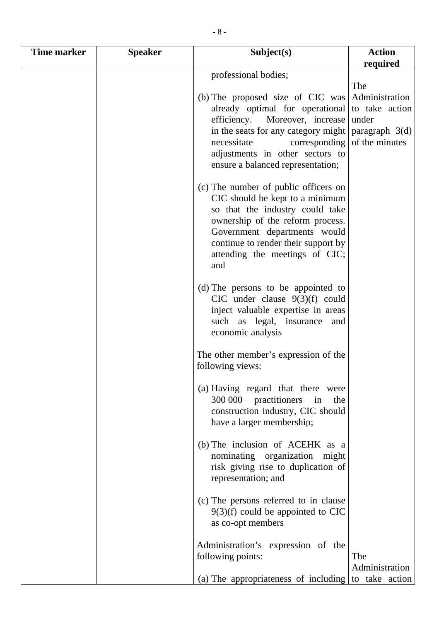| <b>Time marker</b> | <b>Speaker</b> | Subject(s)                                                       | <b>Action</b>    |
|--------------------|----------------|------------------------------------------------------------------|------------------|
|                    |                |                                                                  | required         |
|                    |                | professional bodies;                                             |                  |
|                    |                |                                                                  | The              |
|                    |                | (b) The proposed size of CIC was                                 | Administration   |
|                    |                | already optimal for operational                                  | to take action   |
|                    |                | efficiency.<br>Moreover, increase                                | under            |
|                    |                | in the seats for any category might                              | paragraph $3(d)$ |
|                    |                | necessitate<br>corresponding                                     | of the minutes   |
|                    |                | adjustments in other sectors to                                  |                  |
|                    |                | ensure a balanced representation;                                |                  |
|                    |                |                                                                  |                  |
|                    |                | (c) The number of public officers on                             |                  |
|                    |                | CIC should be kept to a minimum                                  |                  |
|                    |                | so that the industry could take                                  |                  |
|                    |                | ownership of the reform process.                                 |                  |
|                    |                | Government departments would                                     |                  |
|                    |                | continue to render their support by                              |                  |
|                    |                | attending the meetings of CIC;                                   |                  |
|                    |                | and                                                              |                  |
|                    |                | (d) The persons to be appointed to                               |                  |
|                    |                | CIC under clause $9(3)(f)$ could                                 |                  |
|                    |                | inject valuable expertise in areas                               |                  |
|                    |                | such as legal, insurance<br>and                                  |                  |
|                    |                | economic analysis                                                |                  |
|                    |                |                                                                  |                  |
|                    |                | The other member's expression of the                             |                  |
|                    |                | following views:                                                 |                  |
|                    |                |                                                                  |                  |
|                    |                | (a) Having regard that there were                                |                  |
|                    |                | 300 000 practitioners<br>in<br>the                               |                  |
|                    |                | construction industry, CIC should                                |                  |
|                    |                | have a larger membership;                                        |                  |
|                    |                |                                                                  |                  |
|                    |                | (b) The inclusion of ACEHK as a<br>nominating organization might |                  |
|                    |                | risk giving rise to duplication of                               |                  |
|                    |                | representation; and                                              |                  |
|                    |                |                                                                  |                  |
|                    |                | (c) The persons referred to in clause                            |                  |
|                    |                | $9(3)(f)$ could be appointed to CIC                              |                  |
|                    |                | as co-opt members                                                |                  |
|                    |                |                                                                  |                  |
|                    |                | Administration's expression of the                               |                  |
|                    |                | following points:                                                | The              |
|                    |                |                                                                  | Administration   |
|                    |                | (a) The appropriateness of including to take action              |                  |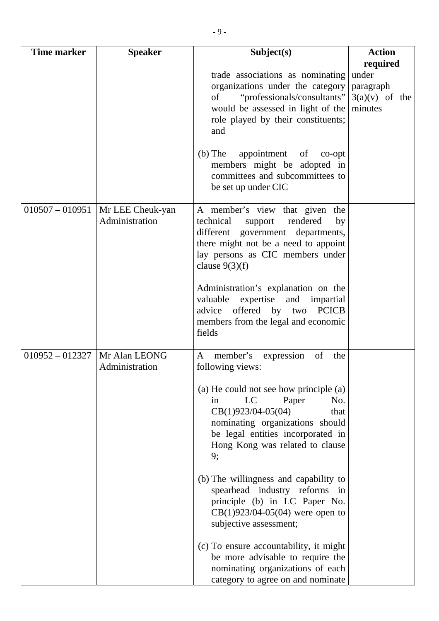| <b>Time marker</b> | <b>Speaker</b>                     | Subject(s)                                                                                                                                                                                                                              | <b>Action</b><br>required                         |
|--------------------|------------------------------------|-----------------------------------------------------------------------------------------------------------------------------------------------------------------------------------------------------------------------------------------|---------------------------------------------------|
|                    |                                    | trade associations as nominating<br>organizations under the category<br>"professionals/consultants"<br>of<br>would be assessed in light of the<br>role played by their constituents;<br>and<br>$(b)$ The<br>appointment of<br>$co$ -opt | under<br>paragraph<br>$3(a)(v)$ of the<br>minutes |
|                    |                                    | members might be adopted in<br>committees and subcommittees to<br>be set up under CIC                                                                                                                                                   |                                                   |
| $010507 - 010951$  | Mr LEE Cheuk-yan<br>Administration | A member's view that given the<br>technical<br>rendered<br>support<br>by<br>different government departments,<br>there might not be a need to appoint<br>lay persons as CIC members under<br>clause $9(3)(f)$                           |                                                   |
|                    |                                    | Administration's explanation on the<br>valuable<br>expertise and impartial<br>offered by<br><b>PCICB</b><br>advice<br>two<br>members from the legal and economic<br>fields                                                              |                                                   |
| $010952 - 012327$  | Mr Alan LEONG<br>Administration    | member's<br>$\mathbf{A}$<br>of<br>the<br>expression<br>following views:                                                                                                                                                                 |                                                   |
|                    |                                    | (a) He could not see how principle (a)<br>LC<br>Paper<br>No.<br>in<br>$CB(1)923/04-05(04)$<br>that<br>nominating organizations should<br>be legal entities incorporated in<br>Hong Kong was related to clause<br>9;                     |                                                   |
|                    |                                    | (b) The willingness and capability to<br>spearhead industry reforms in<br>principle (b) in LC Paper No.<br>$CB(1)923/04-05(04)$ were open to<br>subjective assessment;                                                                  |                                                   |
|                    |                                    | (c) To ensure accountability, it might<br>be more advisable to require the<br>nominating organizations of each<br>category to agree on and nominate                                                                                     |                                                   |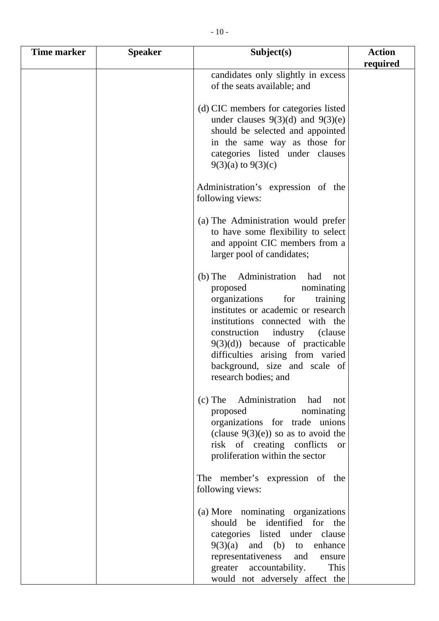| Time marker | <b>Speaker</b> | Subject(s)                                                                                                                                                                                                                                                                                                                                            | <b>Action</b> |
|-------------|----------------|-------------------------------------------------------------------------------------------------------------------------------------------------------------------------------------------------------------------------------------------------------------------------------------------------------------------------------------------------------|---------------|
|             |                |                                                                                                                                                                                                                                                                                                                                                       | required      |
|             |                | candidates only slightly in excess<br>of the seats available; and                                                                                                                                                                                                                                                                                     |               |
|             |                | (d) CIC members for categories listed<br>under clauses $9(3)(d)$ and $9(3)(e)$<br>should be selected and appointed<br>in the same way as those for<br>categories listed under clauses<br>$9(3)(a)$ to $9(3)(c)$                                                                                                                                       |               |
|             |                | Administration's expression of the<br>following views:                                                                                                                                                                                                                                                                                                |               |
|             |                | (a) The Administration would prefer<br>to have some flexibility to select<br>and appoint CIC members from a<br>larger pool of candidates;                                                                                                                                                                                                             |               |
|             |                | Administration<br>$(b)$ The<br>had<br>not<br>proposed<br>nominating<br>organizations<br>for<br>training<br>institutes or academic or research<br>institutions connected with the<br>industry (clause<br>construction<br>$9(3)(d)$ because of practicable<br>difficulties arising from varied<br>background, size and scale of<br>research bodies; and |               |
|             |                | (c) The Administration had<br>not<br>proposed<br>nominating<br>organizations for trade unions<br>(clause $9(3)(e)$ ) so as to avoid the<br>risk of creating conflicts<br><sub>or</sub><br>proliferation within the sector                                                                                                                             |               |
|             |                | The member's expression of the<br>following views:                                                                                                                                                                                                                                                                                                    |               |
|             |                | (a) More nominating organizations<br>should be identified for the<br>categories listed under clause<br>$9(3)(a)$ and (b) to enhance<br>representativeness<br>and<br>ensure<br>greater accountability.<br>This<br>would not adversely affect the                                                                                                       |               |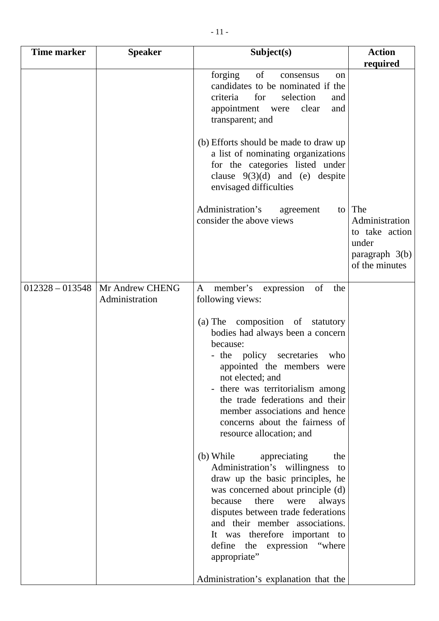| <b>Time marker</b> | <b>Speaker</b>  | Subject(s)                                                                                                                                                                                                                                                                                                                                                                                                                                                                                                         | <b>Action</b>                                                                        |
|--------------------|-----------------|--------------------------------------------------------------------------------------------------------------------------------------------------------------------------------------------------------------------------------------------------------------------------------------------------------------------------------------------------------------------------------------------------------------------------------------------------------------------------------------------------------------------|--------------------------------------------------------------------------------------|
|                    |                 |                                                                                                                                                                                                                                                                                                                                                                                                                                                                                                                    | required                                                                             |
|                    |                 | forging<br>of<br>consensus<br>on<br>candidates to be nominated if the<br>selection<br>criteria<br>for<br>and<br>clear<br>appointment were<br>and<br>transparent; and                                                                                                                                                                                                                                                                                                                                               |                                                                                      |
|                    |                 | (b) Efforts should be made to draw up<br>a list of nominating organizations<br>for the categories listed under<br>clause $9(3)(d)$ and (e) despite<br>envisaged difficulties                                                                                                                                                                                                                                                                                                                                       |                                                                                      |
|                    |                 | Administration's<br>agreement<br>to  <br>consider the above views                                                                                                                                                                                                                                                                                                                                                                                                                                                  | The<br>Administration<br>to take action<br>under<br>paragraph 3(b)<br>of the minutes |
| $012328 - 013548$  | Mr Andrew CHENG | member's<br>of<br>$\mathbf{A}$<br>expression<br>the                                                                                                                                                                                                                                                                                                                                                                                                                                                                |                                                                                      |
|                    | Administration  | following views:<br>(a) The composition of statutory<br>bodies had always been a concern<br>because:<br>- the policy secretaries<br>who<br>appointed the members were<br>not elected; and<br>- there was territorialism among<br>the trade federations and their<br>member associations and hence<br>concerns about the fairness of<br>resource allocation; and<br>(b) While<br>appreciating<br>the<br>Administration's willingness<br>to<br>draw up the basic principles, he<br>was concerned about principle (d) |                                                                                      |
|                    |                 | because<br>there were<br>always<br>disputes between trade federations<br>and their member associations.<br>It was therefore important to<br>define the expression "where<br>appropriate"<br>Administration's explanation that the                                                                                                                                                                                                                                                                                  |                                                                                      |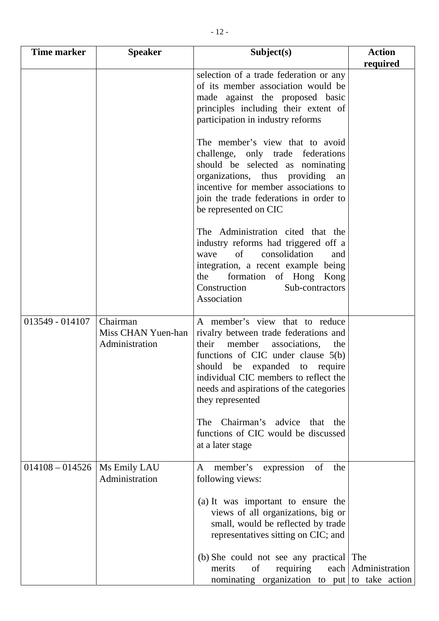| Time marker       | <b>Speaker</b>                                   | Subject(s)                                                                                                                                                                                                                                                                                       | <b>Action</b><br>required |
|-------------------|--------------------------------------------------|--------------------------------------------------------------------------------------------------------------------------------------------------------------------------------------------------------------------------------------------------------------------------------------------------|---------------------------|
|                   |                                                  | selection of a trade federation or any<br>of its member association would be<br>made against the proposed basic<br>principles including their extent of<br>participation in industry reforms                                                                                                     |                           |
|                   |                                                  | The member's view that to avoid<br>challenge, only trade federations<br>should be selected as nominating<br>organizations, thus providing<br>an<br>incentive for member associations to<br>join the trade federations in order to<br>be represented on CIC                                       |                           |
|                   |                                                  | The Administration cited that the<br>industry reforms had triggered off a<br>of<br>consolidation<br>and<br>wave<br>integration, a recent example being<br>formation of Hong Kong<br>the<br>Construction<br>Sub-contractors<br>Association                                                        |                           |
| 013549 - 014107   | Chairman<br>Miss CHAN Yuen-han<br>Administration | A member's view that to reduce<br>rivalry between trade federations and<br>their<br>member associations,<br>the<br>functions of CIC under clause $5(b)$<br>should be expanded to require<br>individual CIC members to reflect the<br>needs and aspirations of the categories<br>they represented |                           |
|                   |                                                  | The Chairman's advice that<br>the<br>functions of CIC would be discussed<br>at a later stage                                                                                                                                                                                                     |                           |
| $014108 - 014526$ | Ms Emily LAU<br>Administration                   | expression of<br>member's<br>the<br>A<br>following views:                                                                                                                                                                                                                                        |                           |
|                   |                                                  | (a) It was important to ensure the<br>views of all organizations, big or<br>small, would be reflected by trade<br>representatives sitting on CIC; and                                                                                                                                            |                           |
|                   |                                                  | (b) She could not see any practical The                                                                                                                                                                                                                                                          |                           |

merits of requiring each nominating organization to put Administration to take action